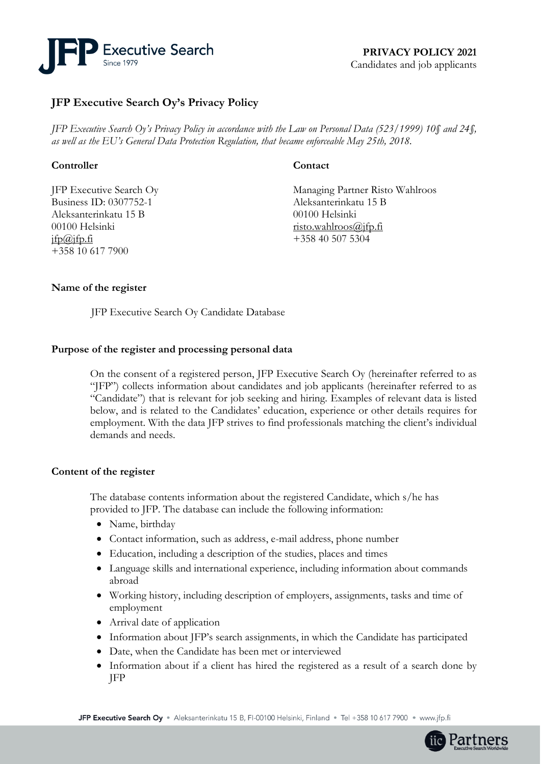

# **JFP Executive Search Oy's Privacy Policy**

*JFP Executive Search Oy's Privacy Policy in accordance with the Law on Personal Data (523/1999) 10§ and 24§, as well as the EU's General Data Protection Regulation, that became enforceable May 25th, 2018.* 

# **Controller**

JFP Executive Search Oy Business ID: 0307752-1 Aleksanterinkatu 15 B 00100 Helsinki  $ifp@ifp.fi$ +358 10 617 7900

# **Contact**

Managing Partner Risto Wahlroos Aleksanterinkatu 15 B 00100 Helsinki [risto.wahlroos@jfp.fi](mailto:risto.wahlroos@jfp.fi) +358 40 507 5304

# **Name of the register**

JFP Executive Search Oy Candidate Database

## **Purpose of the register and processing personal data**

On the consent of a registered person, JFP Executive Search Oy (hereinafter referred to as "JFP") collects information about candidates and job applicants (hereinafter referred to as "Candidate") that is relevant for job seeking and hiring. Examples of relevant data is listed below, and is related to the Candidates' education, experience or other details requires for employment. With the data JFP strives to find professionals matching the client's individual demands and needs.

## **Content of the register**

The database contents information about the registered Candidate, which s/he has provided to JFP. The database can include the following information:

- Name, birthday
- Contact information, such as address, e-mail address, phone number
- Education, including a description of the studies, places and times
- Language skills and international experience, including information about commands abroad
- Working history, including description of employers, assignments, tasks and time of employment
- Arrival date of application
- Information about JFP's search assignments, in which the Candidate has participated
- Date, when the Candidate has been met or interviewed
- Information about if a client has hired the registered as a result of a search done by JFP